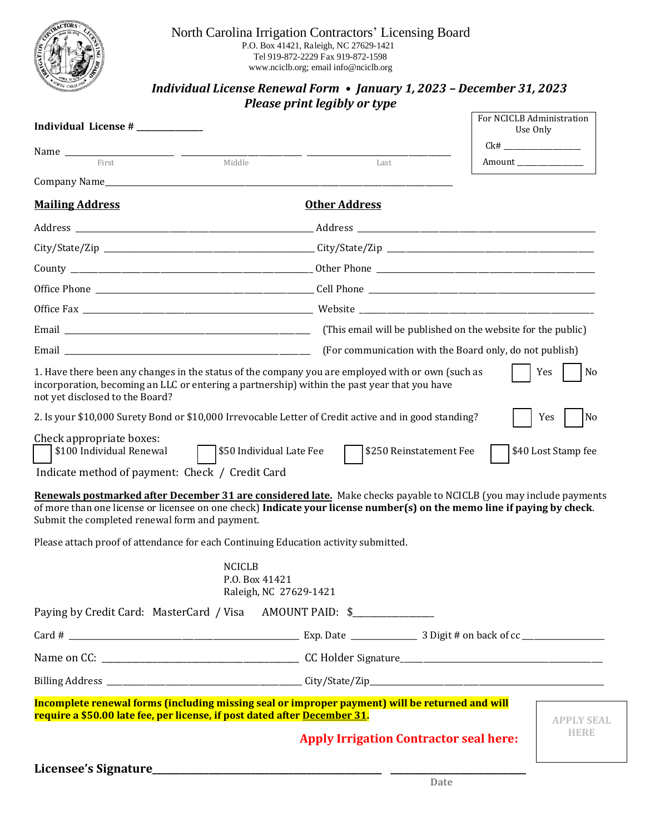

## North Carolina Irrigation Contractors' Licensing Board P.O. Box 41421, Raleigh, NC 27629-1421 Tel 919-872-2229 Fax 919-872-1598 www.nciclb.org; email info@nciclb.org

## *Individual License Renewal Form • January 1, 2023 – December 31, 2023 Please print legibly or type*

| Individual License #                                                                                                                                                                                                                                                                                                                                                                                       |                                                     | For NCICLB Administration<br>Use Only                   |
|------------------------------------------------------------------------------------------------------------------------------------------------------------------------------------------------------------------------------------------------------------------------------------------------------------------------------------------------------------------------------------------------------------|-----------------------------------------------------|---------------------------------------------------------|
| First<br>Middle                                                                                                                                                                                                                                                                                                                                                                                            | Last                                                | Amount                                                  |
|                                                                                                                                                                                                                                                                                                                                                                                                            |                                                     |                                                         |
| <b>Mailing Address</b>                                                                                                                                                                                                                                                                                                                                                                                     | <b>Other Address</b>                                |                                                         |
|                                                                                                                                                                                                                                                                                                                                                                                                            |                                                     |                                                         |
|                                                                                                                                                                                                                                                                                                                                                                                                            |                                                     |                                                         |
|                                                                                                                                                                                                                                                                                                                                                                                                            |                                                     |                                                         |
|                                                                                                                                                                                                                                                                                                                                                                                                            |                                                     |                                                         |
|                                                                                                                                                                                                                                                                                                                                                                                                            |                                                     |                                                         |
|                                                                                                                                                                                                                                                                                                                                                                                                            |                                                     |                                                         |
|                                                                                                                                                                                                                                                                                                                                                                                                            |                                                     | (For communication with the Board only, do not publish) |
| 1. Have there been any changes in the status of the company you are employed with or own (such as<br>incorporation, becoming an LLC or entering a partnership) within the past year that you have<br>not yet disclosed to the Board?                                                                                                                                                                       |                                                     | Yes<br>No                                               |
| 2. Is your \$10,000 Surety Bond or \$10,000 Irrevocable Letter of Credit active and in good standing?                                                                                                                                                                                                                                                                                                      |                                                     | No<br>Yes                                               |
| Check appropriate boxes:<br>\$100 Individual Renewal<br>Indicate method of payment: Check / Credit Card<br>Renewals postmarked after December 31 are considered late. Make checks payable to NCICLB (you may include payments<br>of more than one license or licensee on one check) Indicate your license number(s) on the memo line if paying by check.<br>Submit the completed renewal form and payment. | \$50 Individual Late Fee<br>\$250 Reinstatement Fee | \$40 Lost Stamp fee                                     |
| Please attach proof of attendance for each Continuing Education activity submitted.                                                                                                                                                                                                                                                                                                                        |                                                     |                                                         |
| <b>NCICLB</b>                                                                                                                                                                                                                                                                                                                                                                                              | P.O. Box 41421<br>Raleigh, NC 27629-1421            |                                                         |
| Paying by Credit Card: MasterCard / Visa AMOUNT PAID: \$                                                                                                                                                                                                                                                                                                                                                   |                                                     |                                                         |
|                                                                                                                                                                                                                                                                                                                                                                                                            |                                                     |                                                         |
|                                                                                                                                                                                                                                                                                                                                                                                                            |                                                     |                                                         |
|                                                                                                                                                                                                                                                                                                                                                                                                            |                                                     |                                                         |
| Incomplete renewal forms (including missing seal or improper payment) will be returned and will<br>require a \$50.00 late fee, per license, if post dated after December 31.                                                                                                                                                                                                                               |                                                     | <b>APPLY SEAL</b>                                       |
|                                                                                                                                                                                                                                                                                                                                                                                                            | <b>Apply Irrigation Contractor seal here:</b>       | HERE                                                    |
|                                                                                                                                                                                                                                                                                                                                                                                                            | Date                                                |                                                         |
|                                                                                                                                                                                                                                                                                                                                                                                                            |                                                     |                                                         |